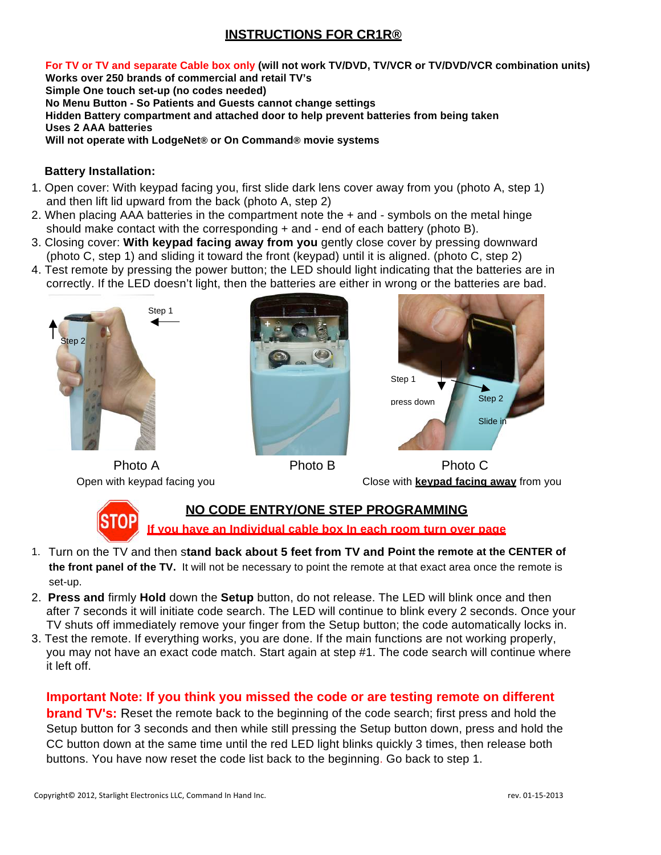# **INSTRUCTIONS FOR CR1R®**

**For TV or TV and separate Cable box only (will not work TV/DVD, TV/VCR or TV/DVD/VCR combination units) Works over 250 brands of commercial and retail TV's Simple One touch set-up (no codes needed) No Menu Button - So Patients and Guests cannot change settings Hidden Battery compartment and attached door to help prevent batteries from being taken Uses 2 AAA batteries Will not operate with LodgeNet® or On Command® movie systems** 

#### **Battery Installation:**

- 1. Open cover: With keypad facing you, first slide dark lens cover away from you (photo A, step 1) and then lift lid upward from the back (photo A, step 2)
- 2. When placing AAA batteries in the compartment note the + and symbols on the metal hinge should make contact with the corresponding + and - end of each battery (photo B).
- 3. Closing cover: **With keypad facing away from you** gently close cover by pressing downward (photo C, step 1) and sliding it toward the front (keypad) until it is aligned. (photo C, step 2)
- 4. Test remote by pressing the power button; the LED should light indicating that the batteries are in correctly. If the LED doesn't light, then the batteries are either in wrong or the batteries are bad.







Photo A **Photo B** Photo C Open with keypad facing you Close with **keypad facing away** from you



## **NO CODE ENTRY/ONE STEP PROGRAMMING**

**If you have an Individual cable box In each room turn over page**

- 1. Turn on the TV and then s**tand back about 5 feet from TV and Point the remote at the CENTER of the front panel of the TV.** It will not be necessary to point the remote at that exact area once the remote is set-up.
- 2. **Press and** firmly **Hold** down the **Setup** button, do not release. The LED will blink once and then after 7 seconds it will initiate code search. The LED will continue to blink every 2 seconds. Once your TV shuts off immediately remove your finger from the Setup button; the code automatically locks in.
- 3. Test the remote. If everything works, you are done. If the main functions are not working properly, you may not have an exact code match. Start again at step #1. The code search will continue where it left off.

## **Important Note: If you think you missed the code or are testing remote on different**

**brand TV's:** Reset the remote back to the beginning of the code search; first press and hold the Setup button for 3 seconds and then while still pressing the Setup button down, press and hold the CC button down at the same time until the red LED light blinks quickly 3 times, then release both buttons. You have now reset the code list back to the beginning. Go back to step 1.